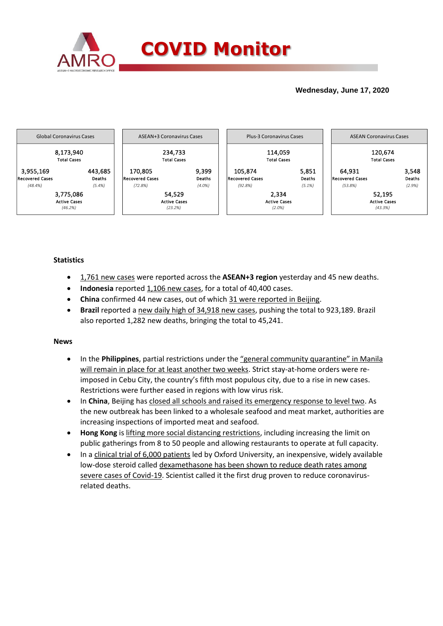

# **Wednesday, June 17, 2020**



## **Statistics**

- 1,761 new cases were reported across the **ASEAN+3 region** yesterday and 45 new deaths.
- **Indonesia** reported 1,106 new cases, for a total of 40,400 cases.
- **China** confirmed 44 new cases, out of which 31 were reported in Beijing.
- **Brazil** reported a new daily high of 34,918 new cases, pushing the total to 923,189. Brazil also reported 1,282 new deaths, bringing the total to 45,241.

### **News**

- In the **Philippines**, partial restrictions under the "general community quarantine" in Manila will remain in place for at least another two weeks. Strict stay-at-home orders were reimposed in Cebu City, the country's fifth most populous city, due to a rise in new cases. Restrictions were further eased in regions with low virus risk.
- In **China**, Beijing has closed all schools and raised its emergency response to level two. As the new outbreak has been linked to a wholesale seafood and meat market, authorities are increasing inspections of imported meat and seafood.
- **Hong Kong** is lifting more social distancing restrictions, including increasing the limit on public gatherings from 8 to 50 people and allowing restaurants to operate at full capacity.
- In a clinical trial of 6,000 patients led by Oxford University, an inexpensive, widely available low-dose steroid called dexamethasone has been shown to reduce death rates among severe cases of Covid-19. Scientist called it the first drug proven to reduce coronavirusrelated deaths.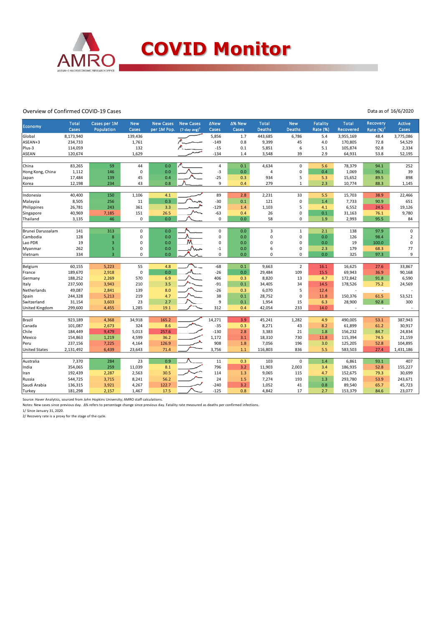

#### Overview of Confirmed COVID-19 Cases

Data as of 16/6/2020

| <b>Economy</b>       | <b>Total</b><br><b>Cases</b> | Cases per 1M<br>Population | <b>New</b><br>Cases | <b>New Cases</b><br>per 1M Pop. | <b>New Cases</b><br>$(7$ -day avg) <sup>1</sup> | <b>ANew</b><br>Cases | Δ% New<br>Cases | <b>Total</b><br><b>Deaths</b> | <b>New</b><br><b>Deaths</b> | Fatality<br><b>Rate (%)</b> | <b>Total</b><br>Recovered | <b>Recovery</b><br>Rate $(%)2$ | Active<br>Cases |
|----------------------|------------------------------|----------------------------|---------------------|---------------------------------|-------------------------------------------------|----------------------|-----------------|-------------------------------|-----------------------------|-----------------------------|---------------------------|--------------------------------|-----------------|
| Global               | 8,173,940                    |                            | 139,436             |                                 |                                                 | 5,856                | 1.7             | 443,685                       | 6,786                       | 5.4                         | 3,955,169                 | 48.4                           | 3,775,086       |
| ASEAN+3              | 234,733                      |                            | 1,761               |                                 |                                                 | $-149$               | 0.8             | 9,399                         | 45                          | 4.0                         | 170,805                   | 72.8                           | 54,529          |
| Plus-3               | 114,059                      |                            | 132                 |                                 |                                                 | $-15$                | 0.1             | 5,851                         | 6                           | 5.1                         | 105,874                   | 92.8                           | 2,334           |
| <b>ASEAN</b>         | 120,674                      |                            | 1,629               |                                 |                                                 | $-134$               | 1.4             | 3,548                         | 39                          | 2.9                         | 64,931                    | 53.8                           | 52,195          |
|                      |                              |                            |                     |                                 |                                                 |                      |                 |                               |                             |                             |                           |                                |                 |
| China                | 83,265                       | 59                         | 44                  | 0.0                             |                                                 | $\overline{4}$       | 0.1             | 4,634                         | $\pmb{0}$                   | 5.6                         | 78,379                    | 94.1                           | 252             |
| Hong Kong, China     | 1,112                        | 146                        | $\mathbf 0$         | 0.0                             |                                                 | $-3$                 | 0.0             | 4                             | $\mathbf 0$                 | 0.4                         | 1,069                     | 96.1                           | 39              |
| Japan                | 17,484                       | 139                        | 45                  | 0.4                             |                                                 | $-25$                | 0.3             | 934                           | 5                           | 5.3                         | 15,652                    | 89.5                           | 898             |
| Korea                | 12,198                       | 234                        | 43                  | 0.8                             |                                                 | 9                    | 0.4             | 279                           | $\mathbf{1}$                | 2.3                         | 10,774                    | 88.3                           | 1,145           |
|                      |                              |                            |                     |                                 |                                                 |                      |                 |                               |                             |                             |                           |                                |                 |
| Indonesia            | 40,400                       | 150                        | 1,106               | 4.1                             |                                                 | 89                   | 2.8             | 2,231                         | 33                          | 5.5                         | 15,703                    | 38.9                           | 22,466          |
| Malaysia             | 8,505                        | 256                        | 11                  | 0.3                             |                                                 | $-30$                | 0.1             | 121                           | $\pmb{0}$                   | 1.4                         | 7,733                     | 90.9                           | 651             |
| Philippines          | 26,781                       | 243                        | 361                 | 3.3                             |                                                 | $-129$               | 1.4             | 1,103                         | 5                           | 4.1                         | 6,552                     | 24.5                           | 19,126          |
| Singapore            | 40,969                       | 7,185                      | 151                 | 26.5                            |                                                 | $-63$                | 0.4             | 26                            | 0                           | 0.1                         | 31,163                    | 76.1                           | 9,780           |
| Thailand             | 3,135                        | 46                         | 0                   | 0.0                             |                                                 | $\mathbf 0$          | 0.0             | 58                            | 0                           | 1.9                         | 2,993                     | 95.5                           | 84              |
|                      |                              |                            |                     |                                 |                                                 |                      |                 |                               |                             |                             |                           |                                |                 |
| Brunei Darussalam    | 141                          | 313                        | $\mathbf 0$         | 0.0                             |                                                 | $\mathbf 0$          | 0.0             | 3                             | $\mathbf{1}$                | 2.1                         | 138                       | 97.9                           | $\mathsf 0$     |
| Cambodia             | 128                          | 8                          | 0                   | 0.0                             |                                                 | 0                    | 0.0             | $\mathbf 0$                   | $\mathbf 0$                 | 0.0                         | 126                       | 98.4                           | $\overline{2}$  |
| Lao PDR              | 19                           | 3                          | 0                   | 0.0                             | м                                               | $\mathbf 0$          | 0.0             | $\mathbf 0$                   | $\mathbf 0$                 | 0.0                         | 19                        | 100.0                          | $\mathsf 0$     |
| Myanmar              | 262                          | 5                          | 0                   | 0.0                             | ∧nn                                             | $-1$                 | 0.0             | 6                             | $\mathbf 0$                 | 2.3                         | 179                       | 68.3                           | 77              |
| Vietnam              | 334                          | $\overline{3}$             | 0                   | 0.0                             |                                                 | $\mathbf 0$          | 0.0             | $\Omega$                      | $\Omega$                    | 0.0                         | 325                       | 97.3                           | 9               |
|                      |                              |                            |                     |                                 |                                                 |                      |                 |                               |                             |                             |                           |                                |                 |
| Belgium              | 60,155                       | 5,223                      | 55                  | 4.8                             |                                                 | $-68$                | 0.1             | 9,663                         | $\overline{2}$              | 16.1                        | 16,625                    | 27.6                           | 33,867          |
| France               | 189,670                      | 2,918                      | $\mathbf 0$         | 0.0                             |                                                 | $-26$                | 0.0             | 29,484                        | 109                         | 15.5                        | 69,943                    | 36.9                           | 90,168          |
| Germany              | 188,252                      | 2,269                      | 570                 | 6.9                             |                                                 | 406                  | 0.3             | 8,820                         | 13                          | 4.7                         | 172,842                   | 91.8                           | 6,590           |
| Italy                | 237,500                      | 3,943                      | 210                 | 3.5                             |                                                 | $-91$                | 0.1             | 34,405                        | 34                          | 14.5                        | 178,526                   | 75.2                           | 24,569          |
| Netherlands          | 49,087                       | 2,841                      | 139                 | 8.0                             |                                                 | $-26$                | 0.3             | 6,070                         | 5                           | 12.4                        |                           | ä,                             |                 |
| Spain                | 244,328                      | 5,213                      | 219                 | 4.7                             |                                                 | 38                   | 0.1             | 28,752                        | $\Omega$                    | 11.8                        | 150,376                   | 61.5                           | 53,521          |
| Switzerland          | 31,154                       | 3,603                      | 23                  | 2.7                             |                                                 | 9                    | 0.1             | 1,954                         | 15                          | 6.3                         | 28,900                    | 92.8                           | 300             |
| United Kingdom       | 299,600                      | 4,455                      | 1,285               | 19.1                            |                                                 | 312                  | 0.4             | 42,054                        | 233                         | 14.0                        |                           | $\omega$                       |                 |
| Brazil               | 923,189                      | 4,368                      | 34,918              | 165.2                           |                                                 | 14,271               | 3.9             | 45,241                        | 1,282                       | 4.9                         | 490,005                   | 53.1                           | 387,943         |
|                      | 101,087                      |                            | 324                 | 8.6                             |                                                 | $-35$                | 0.3             | 8,271                         |                             |                             |                           | 61.2                           | 30,917          |
| Canada               |                              | 2,673                      |                     |                                 |                                                 |                      |                 |                               | 43                          | 8.2                         | 61,899                    |                                |                 |
| Chile                | 184,449                      | 9,479                      | 5,013               | 257.6                           |                                                 | $-130$               | 2.8             | 3,383                         | 21                          | 1.8                         | 156,232                   | 84.7                           | 24,834          |
| Mexico               | 154,863                      | 1,219                      | 4,599               | 36.2                            |                                                 | 1,172                | 3.1             | 18,310                        | 730                         | 11.8                        | 115,394                   | 74.5                           | 21,159          |
| Peru                 | 237,156                      | 7,225                      | 4,164               | 126.9                           |                                                 | 908                  | 1.8             | 7,056                         | 196                         | 3.0                         | 125,205                   | 52.8                           | 104,895         |
| <b>United States</b> | 2,131,492                    | 6,439                      | 23,643              | 71.4                            |                                                 | 3,756                | 1.1             | 116,803                       | 836                         | 5.5                         | 583,503                   | 27.4                           | 1,431,186       |
|                      | 7,370                        | 284                        | 23                  | 0.9                             |                                                 | 11                   | 0.3             | 103                           | $\mathbf 0$                 |                             | 6,861                     | 93.1                           | 407             |
| Australia<br>India   | 354,065                      | 259                        | 11,039              | 8.1                             |                                                 | 796                  | 3.2             | 11,903                        |                             | 1.4<br>3.4                  | 186,935                   | 52.8                           | 155,227         |
|                      |                              |                            |                     |                                 |                                                 |                      |                 |                               | 2,003                       |                             |                           |                                |                 |
| Iran                 | 192,439                      | 2,287                      | 2,563               | 30.5                            |                                                 | 114                  | 1.3             | 9,065                         | 115                         | 4.7                         | 152,675                   | 79.3                           | 30,699          |
| Russia               | 544,725                      | 3,715                      | 8,241               | 56.2                            |                                                 | 24                   | 1.5             | 7,274                         | 193                         | 1.3                         | 293,780                   | 53.9                           | 243,671         |
| Saudi Arabia         | 136,315                      | 3,921                      | 4,267               | 122.7                           |                                                 | $-240$               | 3.2             | 1,052                         | 41                          | 0.8                         | 89,540                    | 65.7                           | 45,723          |
| Turkey               | 181,298                      | 2,157                      | 1,467               | 17.5                            |                                                 | $-125$               | 0.8             | 4,842                         | 17                          | 2.7                         | 153,379                   | 84.6                           | 23,077          |

Source: Haver Analytics, sourced from John Hopkins University; AMRO staff calculations.

Notes: New cases since previous day. Δ% refers to percentage change since previous day. Fatality rate measured as deaths per confirmed infections.

1/ Since January 31, 2020.

2/ Recovery rate is a proxy for the stage of the cycle.